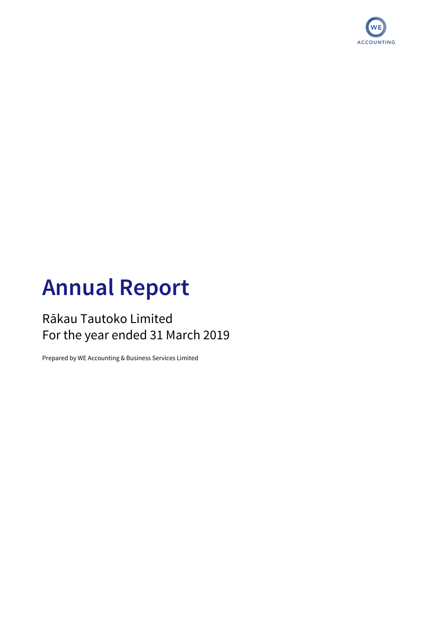

# Annual Report

## Rākau Tautoko Limited For the year ended 31 March 2019

Prepared by WE Accounting & Business Services Limited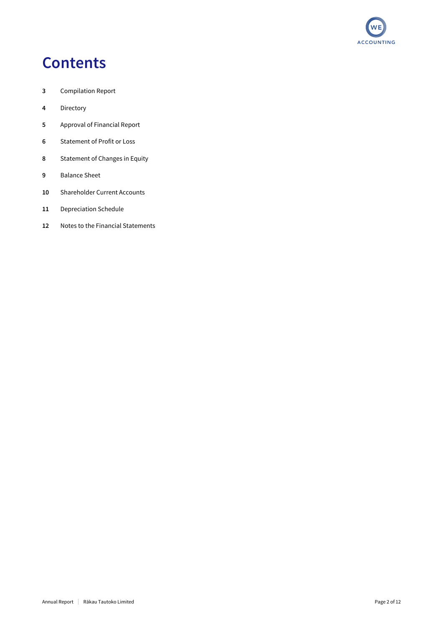

## **Contents**

- Compilation Report
- Directory
- Approval of Financial Report
- Statement of Profit or Loss
- Statement of Changes in Equity
- Balance Sheet
- Shareholder Current Accounts
- 11 Depreciation Schedule
- Notes to the Financial Statements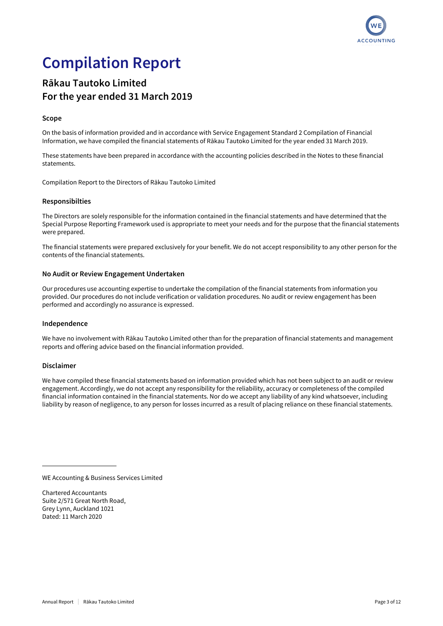

## Compilation Report

## Rākau Tautoko Limited For the year ended 31 March 2019

#### Scope

On the basis of information provided and in accordance with Service Engagement Standard 2 Compilation of Financial Information, we have compiled the financial statements of Rākau Tautoko Limited for the year ended 31 March 2019.

These statements have been prepared in accordance with the accounting policies described in the Notes to these financial statements.

Compilation Report to the Directors of Rākau Tautoko Limited

#### Responsibilties

The Directors are solely responsible for the information contained in the financial statements and have determined that the Special Purpose Reporting Framework used is appropriate to meet your needs and for the purpose that the financial statements were prepared.

The financial statements were prepared exclusively for your benefit. We do not accept responsibility to any other person for the contents of the financial statements.

#### No Audit or Review Engagement Undertaken

Our procedures use accounting expertise to undertake the compilation of the financial statements from information you provided. Our procedures do not include verification or validation procedures. No audit or review engagement has been performed and accordingly no assurance is expressed.

#### Independence

We have no involvement with Rākau Tautoko Limited other than for the preparation of financial statements and management reports and offering advice based on the financial information provided.

#### Disclaimer

We have compiled these financial statements based on information provided which has not been subject to an audit or review engagement. Accordingly, we do not accept any responsibility for the reliability, accuracy or completeness of the compiled financial information contained in the financial statements. Nor do we accept any liability of any kind whatsoever, including liability by reason of negligence, to any person for losses incurred as a result of placing reliance on these financial statements.

WE Accounting & Business Services Limited

Chartered Accountants Suite 2/571 Great North Road, Grey Lynn, Auckland 1021 Dated: 11 March 2020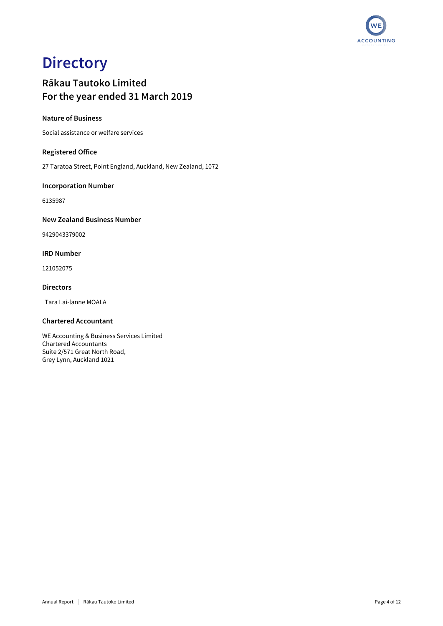

## **Directory**

## Rākau Tautoko Limited For the year ended 31 March 2019

### Nature of Business

Social assistance or welfare services

### Registered Office

27 Taratoa Street, Point England, Auckland, New Zealand, 1072

### Incorporation Number

6135987

### New Zealand Business Number

9429043379002

### IRD Number

121052075

#### Directors

Tara Lai-lanne MOALA

### Chartered Accountant

WE Accounting & Business Services Limited Chartered Accountants Suite 2/571 Great North Road, Grey Lynn, Auckland 1021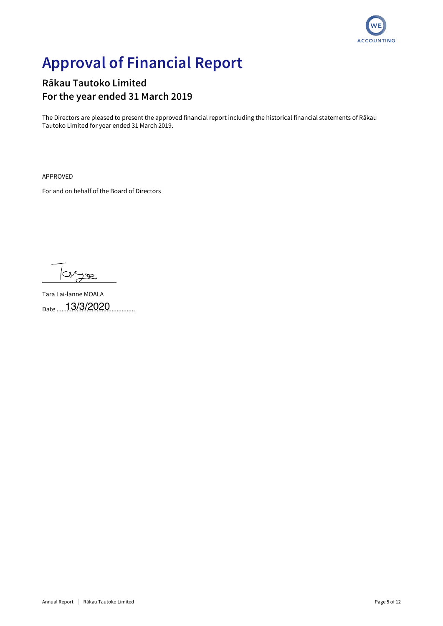

## Approval of Financial Report

## Rākau Tautoko Limited For the year ended 31 March 2019

The Directors are pleased to present the approved financial report including the historical financial statements of Rākau Tautoko Limited for year ended 31 March 2019.

APPROVED

For and on behalf of the Board of Directors

Konge

Tara Lai-lanne MOALA <sub>Date</sub> ......13/3/2020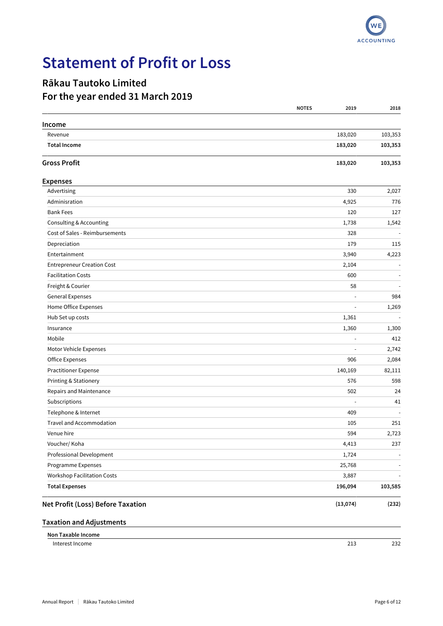

## Statement of Profit or Loss

## Rākau Tautoko Limited For the year ended 31 March 2019

|                                    | <b>NOTES</b><br>2019 | 2018                     |
|------------------------------------|----------------------|--------------------------|
| Income                             |                      |                          |
| Revenue                            | 183,020              | 103,353                  |
| <b>Total Income</b>                | 183,020              | 103,353                  |
| <b>Gross Profit</b>                | 183,020              | 103,353                  |
| <b>Expenses</b>                    |                      |                          |
| Advertising                        | 330                  | 2,027                    |
| Adminisration                      | 4,925                | 776                      |
| <b>Bank Fees</b>                   | 120                  | 127                      |
| Consulting & Accounting            | 1,738                | 1,542                    |
| Cost of Sales - Reimbursements     | 328                  |                          |
| Depreciation                       | 179                  | 115                      |
| Entertainment                      | 3,940                | 4,223                    |
| <b>Entrepreneur Creation Cost</b>  | 2,104                |                          |
| <b>Facilitation Costs</b>          | 600                  | $\overline{\phantom{a}}$ |
| Freight & Courier                  | 58                   |                          |
| <b>General Expenses</b>            | $\blacksquare$       | 984                      |
| Home Office Expenses               |                      | 1,269                    |
| Hub Set up costs                   | 1,361                |                          |
| Insurance                          | 1,360                | 1,300                    |
| Mobile                             | $\sim$               | 412                      |
| Motor Vehicle Expenses             | ÷,                   | 2,742                    |
| Office Expenses                    | 906                  | 2,084                    |
| <b>Practitioner Expense</b>        | 140,169              | 82,111                   |
| Printing & Stationery              | 576                  | 598                      |
| Repairs and Maintenance            | 502                  | 24                       |
| Subscriptions                      | $\blacksquare$       | 41                       |
| Telephone & Internet               | 409                  |                          |
| Travel and Accommodation           | 105                  | 251                      |
| Venue hire                         | 594                  | 2,723                    |
| Voucher/Koha                       | 4,413                | 237                      |
| Professional Development           | 1,724                |                          |
| Programme Expenses                 | 25,768               |                          |
| <b>Workshop Facilitation Costs</b> | 3,887                |                          |
| <b>Total Expenses</b>              | 196,094              | 103,585                  |
| Net Profit (Loss) Before Taxation  | (13,074)             | (232)                    |
| <b>Taxation and Adjustments</b>    |                      |                          |
| Non Taxable Income                 |                      |                          |
| Interest Income                    | 213                  | 232                      |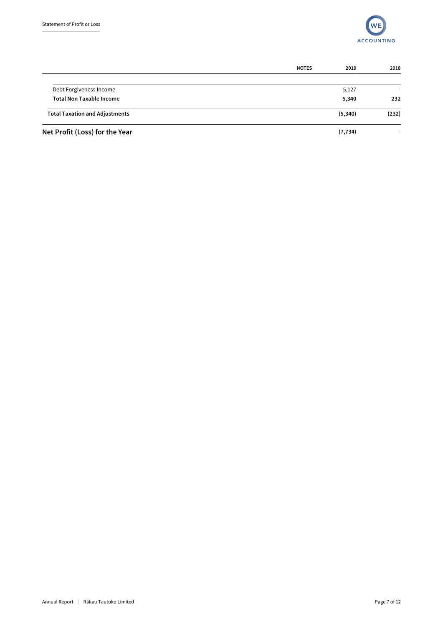

|                                       | <b>NOTES</b> | 2019     | 2018  |
|---------------------------------------|--------------|----------|-------|
|                                       |              |          |       |
| Debt Forgiveness Income               |              | 5,127    |       |
| <b>Total Non Taxable Income</b>       |              | 5,340    | 232   |
| <b>Total Taxation and Adjustments</b> |              | (5,340)  | (232) |
| Net Profit (Loss) for the Year        |              | (7, 734) |       |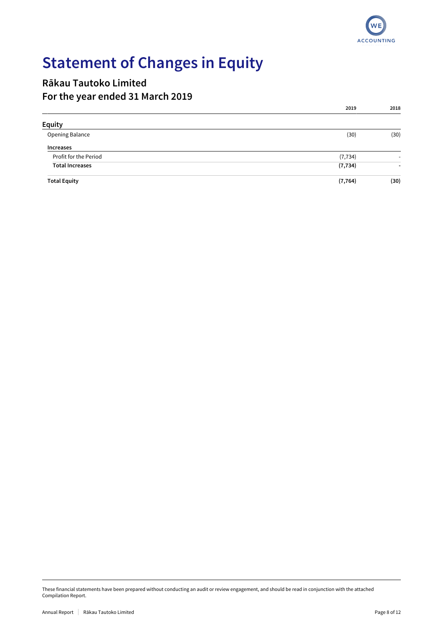

## Statement of Changes in Equity

## Rākau Tautoko Limited For the year ended 31 March 2019

|                        | 2019     | 2018                     |
|------------------------|----------|--------------------------|
| <b>Equity</b>          |          |                          |
| Opening Balance        | (30)     | (30)                     |
| Increases              |          |                          |
| Profit for the Period  | (7, 734) | -                        |
| <b>Total Increases</b> | (7, 734) | $\overline{\phantom{0}}$ |
| <b>Total Equity</b>    | (7, 764) | (30)                     |

These financial statements have been prepared without conducting an audit or review engagement, and should be read in conjunction with the attached Compilation Report.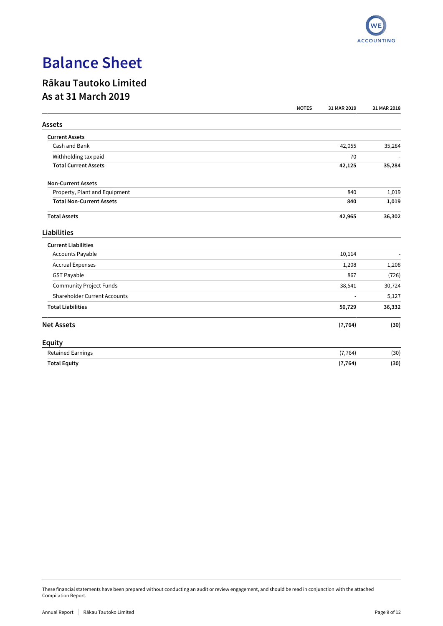

## Balance Sheet

## Rākau Tautoko Limited As at 31 March 2019

|                                     | <b>NOTES</b> | 31 MAR 2019 | 31 MAR 2018 |
|-------------------------------------|--------------|-------------|-------------|
| <b>Assets</b>                       |              |             |             |
| <b>Current Assets</b>               |              |             |             |
| Cash and Bank                       |              | 42,055      | 35,284      |
| Withholding tax paid                |              | 70          |             |
| <b>Total Current Assets</b>         |              | 42,125      | 35,284      |
| <b>Non-Current Assets</b>           |              |             |             |
| Property, Plant and Equipment       |              | 840         | 1,019       |
| <b>Total Non-Current Assets</b>     |              | 840         | 1,019       |
| <b>Total Assets</b>                 |              | 42,965      | 36,302      |
| Liabilities                         |              |             |             |
| <b>Current Liabilities</b>          |              |             |             |
| Accounts Payable                    |              | 10,114      |             |
| <b>Accrual Expenses</b>             |              | 1,208       | 1,208       |
| <b>GST Payable</b>                  |              | 867         | (726)       |
| <b>Community Project Funds</b>      |              | 38,541      | 30,724      |
| <b>Shareholder Current Accounts</b> |              |             | 5,127       |
| <b>Total Liabilities</b>            |              | 50,729      | 36,332      |
| <b>Net Assets</b>                   |              | (7, 764)    | (30)        |
| Equity                              |              |             |             |
| <b>Retained Earnings</b>            |              | (7, 764)    | (30)        |
| <b>Total Equity</b>                 |              | (7, 764)    | (30)        |

These financial statements have been prepared without conducting an audit or review engagement, and should be read in conjunction with the attached Compilation Report.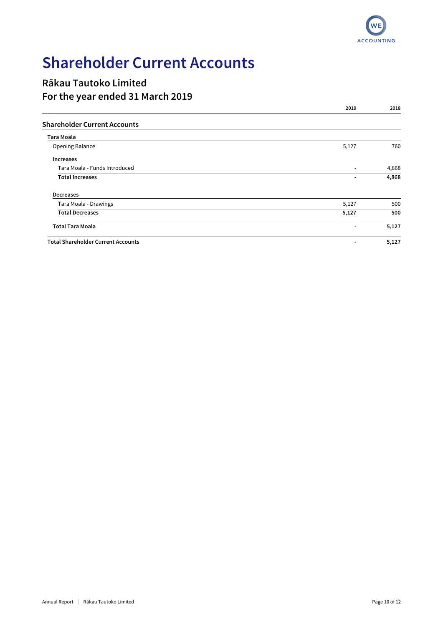

## Shareholder Current Accounts

## Rākau Tautoko Limited For the year ended 31 March 2019

|                                           | 2019                     | 2018  |
|-------------------------------------------|--------------------------|-------|
| <b>Shareholder Current Accounts</b>       |                          |       |
| Tara Moala                                |                          |       |
| Opening Balance                           | 5,127                    | 760   |
| <b>Increases</b>                          |                          |       |
| Tara Moala - Funds Introduced             |                          | 4,868 |
| <b>Total Increases</b>                    | $\blacksquare$           | 4,868 |
| Decreases                                 |                          |       |
| Tara Moala - Drawings                     | 5,127                    | 500   |
| <b>Total Decreases</b>                    | 5,127                    | 500   |
| <b>Total Tara Moala</b>                   | $\blacksquare$           | 5,127 |
| <b>Total Shareholder Current Accounts</b> | $\overline{\phantom{0}}$ | 5,127 |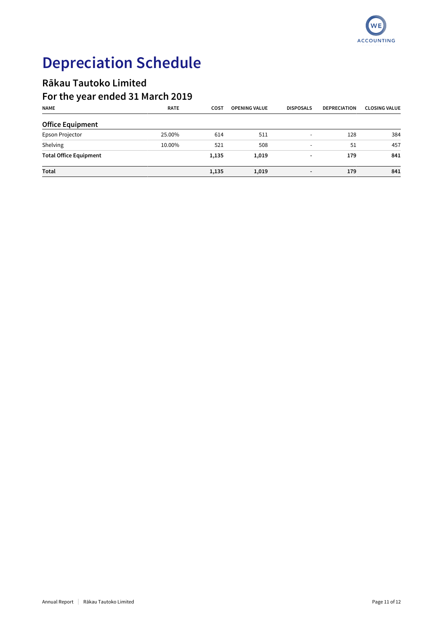

## Depreciation Schedule

### Rākau Tautoko Limited For the year ended 31 March 2019

| <b>NAME</b>                   | <b>RATE</b> | COST  | <b>OPENING VALUE</b> | <b>DISPOSALS</b>         | <b>DEPRECIATION</b> | <b>CLOSING VALUE</b> |
|-------------------------------|-------------|-------|----------------------|--------------------------|---------------------|----------------------|
| <b>Office Equipment</b>       |             |       |                      |                          |                     |                      |
| Epson Projector               | 25.00%      | 614   | 511                  | -                        | 128                 | 384                  |
| Shelving                      | 10.00%      | 521   | 508                  | -                        | 51                  | 457                  |
| <b>Total Office Equipment</b> |             | 1,135 | 1,019                | ٠                        | 179                 | 841                  |
| Total                         |             | 1,135 | 1,019                | $\overline{\phantom{0}}$ | 179                 | 841                  |